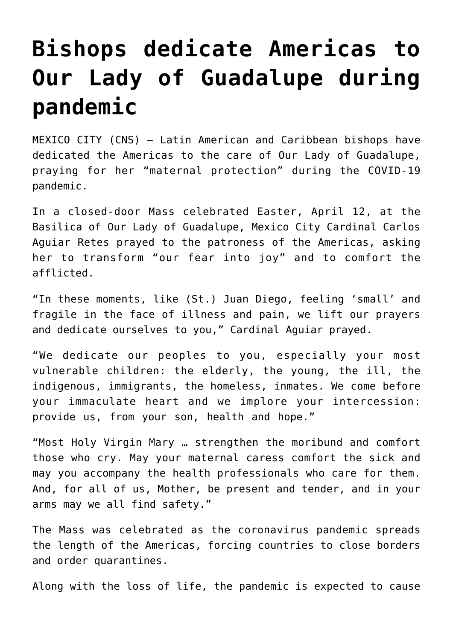## **[Bishops dedicate Americas to](https://www.osvnews.com/2020/04/14/bishops-dedicate-americas-to-our-lady-of-guadalupe-during-pandemic/) [Our Lady of Guadalupe during](https://www.osvnews.com/2020/04/14/bishops-dedicate-americas-to-our-lady-of-guadalupe-during-pandemic/) [pandemic](https://www.osvnews.com/2020/04/14/bishops-dedicate-americas-to-our-lady-of-guadalupe-during-pandemic/)**

MEXICO CITY (CNS) — Latin American and Caribbean bishops have dedicated the Americas to the care of Our Lady of Guadalupe, praying for her "maternal protection" during the COVID-19 pandemic.

In a closed-door Mass celebrated Easter, April 12, at the Basilica of Our Lady of Guadalupe, Mexico City Cardinal Carlos Aguiar Retes prayed to the patroness of the Americas, asking her to transform "our fear into joy" and to comfort the afflicted.

"In these moments, like (St.) Juan Diego, feeling 'small' and fragile in the face of illness and pain, we lift our prayers and dedicate ourselves to you," Cardinal Aguiar prayed.

"We dedicate our peoples to you, especially your most vulnerable children: the elderly, the young, the ill, the indigenous, immigrants, the homeless, inmates. We come before your immaculate heart and we implore your intercession: provide us, from your son, health and hope."

"Most Holy Virgin Mary … strengthen the moribund and comfort those who cry. May your maternal caress comfort the sick and may you accompany the health professionals who care for them. And, for all of us, Mother, be present and tender, and in your arms may we all find safety."

The Mass was celebrated as the coronavirus pandemic spreads the length of the Americas, forcing countries to close borders and order quarantines.

Along with the loss of life, the pandemic is expected to cause